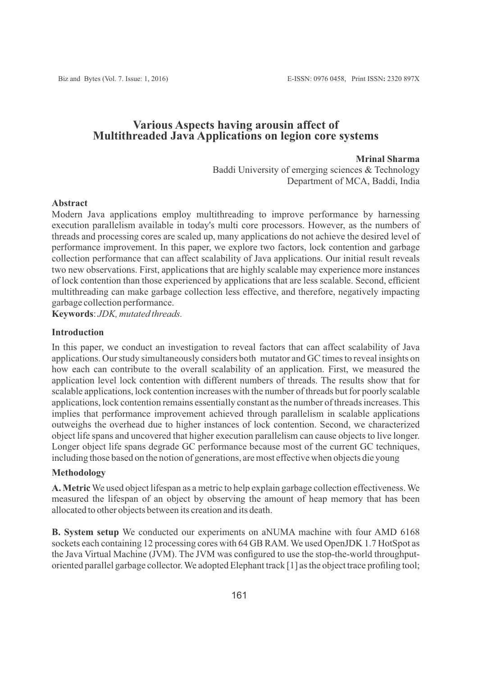# **Various Aspects having arousin affect of Multithreaded Java Applications on legion core systems**

#### **Mrinal Sharma**

Baddi University of emerging sciences & Technology Department of MCA, Baddi, India

## **Abstract**

Modern Java applications employ multithreading to improve performance by harnessing execution parallelism available in today's multi core processors. However, as the numbers of threads and processing cores are scaled up, many applications do not achieve the desired level of performance improvement. In this paper, we explore two factors, lock contention and garbage collection performance that can affect scalability of Java applications. Our initial result reveals two new observations. First, applications that are highly scalable may experience more instances of lock contention than those experienced by applications that are less scalable. Second, efficient multithreading can make garbage collection less effective, and therefore, negatively impacting garbage collection performance.

**Keywords**: *JDK, mutated threads.*

## **Introduction**

In this paper, we conduct an investigation to reveal factors that can affect scalability of Java applications. Our study simultaneously considers both mutator and GC times to reveal insights on how each can contribute to the overall scalability of an application. First, we measured the application level lock contention with different numbers of threads. The results show that for scalable applications, lock contention increases with the number of threads but for poorly scalable applications, lock contention remains essentially constant as the number of threads increases. This implies that performance improvement achieved through parallelism in scalable applications outweighs the overhead due to higher instances of lock contention. Second, we characterized object life spans and uncovered that higher execution parallelism can cause objects to live longer. Longer object life spans degrade GC performance because most of the current GC techniques, including those based on the notion of generations, are most effective when objects die young

## **Methodology**

**A. Metric**We used object lifespan as a metric to help explain garbage collection effectiveness. We measured the lifespan of an object by observing the amount of heap memory that has been allocated to other objects between its creation and its death.

**B. System setup** We conducted our experiments on aNUMA machine with four AMD 6168 sockets each containing 12 processing cores with 64 GB RAM. We used OpenJDK 1.7 HotSpot as the Java Virtual Machine (JVM). The JVM was configured to use the stop-the-world throughputoriented parallel garbage collector. We adopted Elephant track [1] as the object trace profiling tool;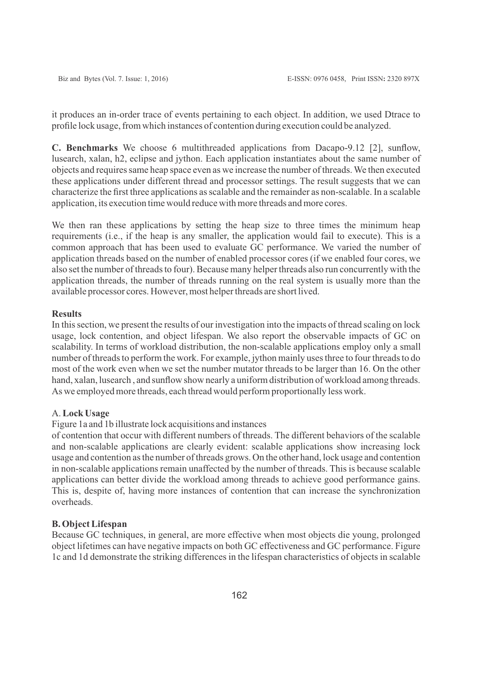it produces an in-order trace of events pertaining to each object. In addition, we used Dtrace to profile lock usage, from which instances of contention during execution could be analyzed.

**C. Benchmarks** We choose 6 multithreaded applications from Dacapo-9.12 [2], sunflow, lusearch, xalan, h2, eclipse and jython. Each application instantiates about the same number of objects and requires same heap space even as we increase the number of threads. We then executed these applications under different thread and processor settings. The result suggests that we can characterize the first three applications as scalable and the remainder as non-scalable. In a scalable application, its execution time would reduce with more threads and more cores.

We then ran these applications by setting the heap size to three times the minimum heap requirements (i.e., if the heap is any smaller, the application would fail to execute). This is a common approach that has been used to evaluate GC performance. We varied the number of application threads based on the number of enabled processor cores (if we enabled four cores, we also set the number of threads to four). Because many helper threads also run concurrently with the application threads, the number of threads running on the real system is usually more than the available processor cores. However, most helper threads are short lived.

### **Results**

In this section, we present the results of our investigation into the impacts of thread scaling on lock usage, lock contention, and object lifespan. We also report the observable impacts of GC on scalability. In terms of workload distribution, the non-scalable applications employ only a small number of threads to perform the work. For example, jython mainly uses three to four threads to do most of the work even when we set the number mutator threads to be larger than 16. On the other hand, xalan, lusearch , and sunflow show nearly a uniform distribution of workload among threads. As we employed more threads, each thread would perform proportionally less work.

#### A.**Lock Usage**

Figure 1a and 1b illustrate lock acquisitions and instances

of contention that occur with different numbers of threads. The different behaviors of the scalable and non-scalable applications are clearly evident: scalable applications show increasing lock usage and contention as the number of threads grows. On the other hand, lock usage and contention in non-scalable applications remain unaffected by the number of threads. This is because scalable applications can better divide the workload among threads to achieve good performance gains. This is, despite of, having more instances of contention that can increase the synchronization overheads.

## **B. Object Lifespan**

Because GC techniques, in general, are more effective when most objects die young, prolonged object lifetimes can have negative impacts on both GC effectiveness and GC performance. Figure 1c and 1d demonstrate the striking differences in the lifespan characteristics of objects in scalable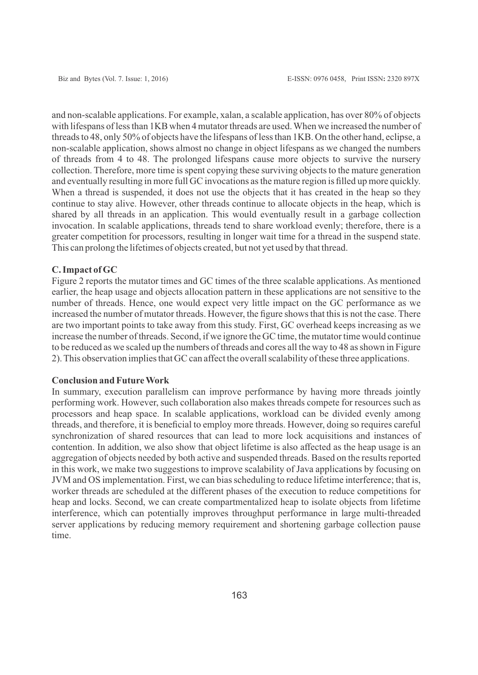and non-scalable applications. For example, xalan, a scalable application, has over 80% of objects with lifespans of less than 1KB when 4 mutator threads are used. When we increased the number of threads to 48, only 50% of objects have the lifespans of less than 1KB. On the other hand, eclipse, a non-scalable application, shows almost no change in object lifespans as we changed the numbers of threads from 4 to 48. The prolonged lifespans cause more objects to survive the nursery collection. Therefore, more time is spent copying these surviving objects to the mature generation and eventually resulting in more full GC invocations as the mature region is filled up more quickly. When a thread is suspended, it does not use the objects that it has created in the heap so they continue to stay alive. However, other threads continue to allocate objects in the heap, which is shared by all threads in an application. This would eventually result in a garbage collection invocation. In scalable applications, threads tend to share workload evenly; therefore, there is a greater competition for processors, resulting in longer wait time for a thread in the suspend state. This can prolong the lifetimes of objects created, but not yet used by that thread.

#### **C. Impact of GC**

Figure 2 reports the mutator times and GC times of the three scalable applications. As mentioned earlier, the heap usage and objects allocation pattern in these applications are not sensitive to the number of threads. Hence, one would expect very little impact on the GC performance as we increased the number of mutator threads. However, the figure shows that this is not the case. There are two important points to take away from this study. First, GC overhead keeps increasing as we increase the number of threads. Second, if we ignore the GC time, the mutator time would continue to be reduced as we scaled up the numbers of threads and cores all the way to 48 as shown in Figure 2). This observation implies that GC can affect the overall scalability of these three applications.

#### **Conclusion and Future Work**

In summary, execution parallelism can improve performance by having more threads jointly performing work. However, such collaboration also makes threads compete for resources such as processors and heap space. In scalable applications, workload can be divided evenly among threads, and therefore, it is beneficial to employ more threads. However, doing so requires careful synchronization of shared resources that can lead to more lock acquisitions and instances of contention. In addition, we also show that object lifetime is also affected as the heap usage is an aggregation of objects needed by both active and suspended threads. Based on the results reported in this work, we make two suggestions to improve scalability of Java applications by focusing on JVM and OS implementation. First, we can bias scheduling to reduce lifetime interference; that is, worker threads are scheduled at the different phases of the execution to reduce competitions for heap and locks. Second, we can create compartmentalized heap to isolate objects from lifetime interference, which can potentially improves throughput performance in large multi-threaded server applications by reducing memory requirement and shortening garbage collection pause time.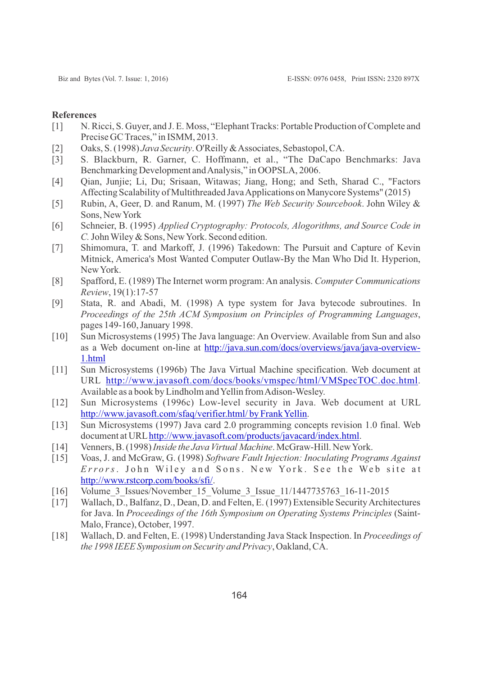### **References**

- [1] N. Ricci, S. Guyer, and J. E. Moss, "Elephant Tracks: Portable Production of Complete and Precise GC Traces," in ISMM, 2013.
- [2] Oaks, S. (1998) *Java Security*. O'Reilly & Associates, Sebastopol, CA.
- [3] S. Blackburn, R. Garner, C. Hoffmann, et al., "The DaCapo Benchmarks: Java Benchmarking Development and Analysis," in OOPSLA, 2006.
- [4] Qian, Junjie; Li, Du; Srisaan, Witawas; Jiang, Hong; and Seth, Sharad C., "Factors Affecting Scalability of Multithreaded Java Applications on Manycore Systems" (2015)
- [5] Rubin, A, Geer, D. and Ranum, M. (1997) *The Web Security Sourcebook*. John Wiley & Sons, New York
- [6] Schneier, B. (1995) *Applied Cryptography: Protocols, Alogorithms, and Source Code in C.*John Wiley & Sons, New York. Second edition.
- [7] Shimomura, T. and Markoff, J. (1996) Takedown: The Pursuit and Capture of Kevin Mitnick, America's Most Wanted Computer Outlaw-By the Man Who Did It. Hyperion, New York.
- [8] Spafford, E. (1989) The Internet worm program: An analysis. *Computer Communications Review*, 19(1):17-57
- [9] Stata, R. and Abadi, M. (1998) A type system for Java bytecode subroutines. In *Proceedings of the 25th ACM Symposium on Principles of Programming Languages*, pages 149-160, January 1998.
- [10] Sun Microsystems (1995) The Java language: An Overview. Available from Sun and also as a Web document on-line at [http://java.sun.com/docs/overviews/java/java-overview-](http://java.sun.com/docs/overviews/java/java-overview-1.html)[1.html](http://java.sun.com/docs/overviews/java/java-overview-1.html)
- [11] Sun Microsystems (1996b) The Java Virtual Machine specification. Web document at URL <http://www.javasoft.com/docs/books/vmspec/html/VMSpecTOC.doc.html>. Available as a book by Lindholm and Yellin from Adison-Wesley.
- [12] Sun Microsystems (1996c) Low-level security in Java. Web document at URL [http://www.javasoft.com/sfaq/verifier.html/ by Frank Yellin](http://www.javasoft.com/sfaq/verifier.html/).
- [13] Sun Microsystems (1997) Java card 2.0 programming concepts revision 1.0 final. Web document at URL<http://www.javasoft.com/products/javacard/index.html>.
- [14] Venners, B. (1998) *Inside the Java Virtual Machine*. McGraw-Hill. New York.
- [15] Voas, J. and McGraw, G. (1998) *Software Fault Injection: Inoculating Programs Against Errors*. John Wiley and Sons. New York. See the Web site at <http://www.rstcorp.com/books/sfi/>.
- [16] Volume 3 Issues/November 15 Volume 3 Issue 11/1447735763 16-11-2015
- [17] Wallach, D., Balfanz, D., Dean, D. and Felten, E. (1997) Extensible Security Architectures for Java. In *Proceedings of the 16th Symposium on Operating Systems Principles* (Saint-Malo, France), October, 1997.
- [18] Wallach, D. and Felten, E. (1998) Understanding Java Stack Inspection. In *Proceedings of the 1998 IEEE Symposium on Security and Privacy*, Oakland, CA.